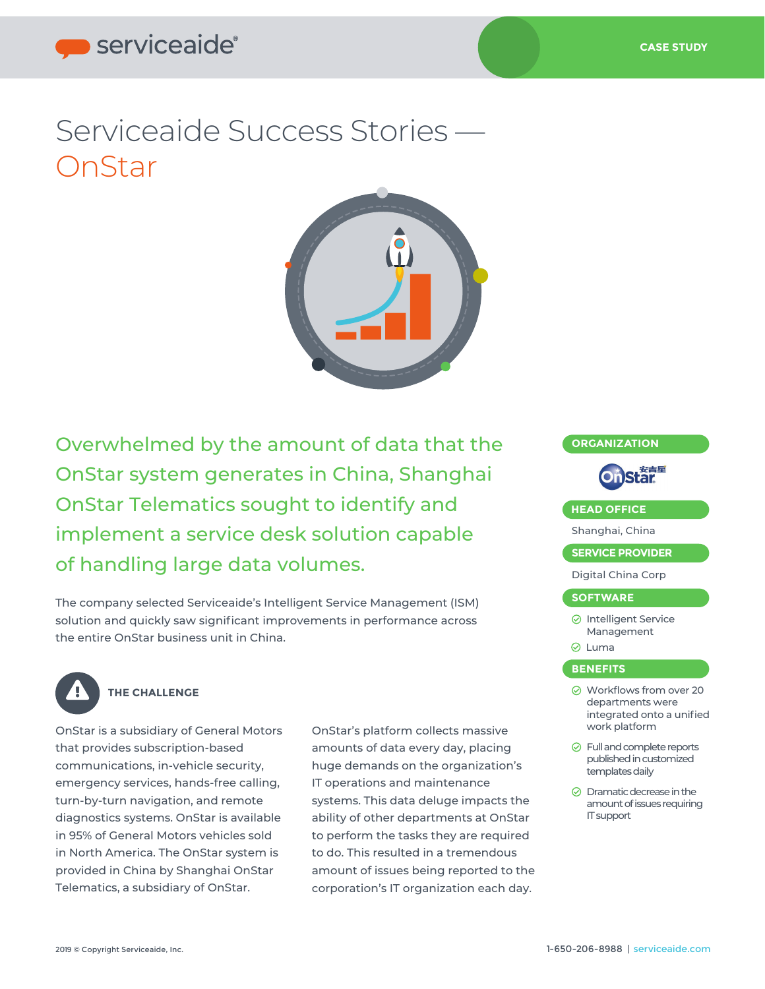# serviceaide®

# Serviceaide Success Stories — **OnStar**



Overwhelmed by the amount of data that the OnStar system generates in China, Shanghai OnStar Telematics sought to identify and implement a service desk solution capable of handling large data volumes.

The company selected Serviceaide's Intelligent Service Management (ISM) solution and quickly saw significant improvements in performance across the entire OnStar business unit in China.



## **THE CHALLENGE**

OnStar is a subsidiary of General Motors that provides subscription-based communications, in-vehicle security, emergency services, hands-free calling, turn-by-turn navigation, and remote diagnostics systems. OnStar is available in 95% of General Motors vehicles sold in North America. The OnStar system is provided in China by Shanghai OnStar Telematics, a subsidiary of OnStar.

OnStar's platform collects massive amounts of data every day, placing huge demands on the organization's IT operations and maintenance systems. This data deluge impacts the ability of other departments at OnStar to perform the tasks they are required to do. This resulted in a tremendous amount of issues being reported to the corporation's IT organization each day.



IT support